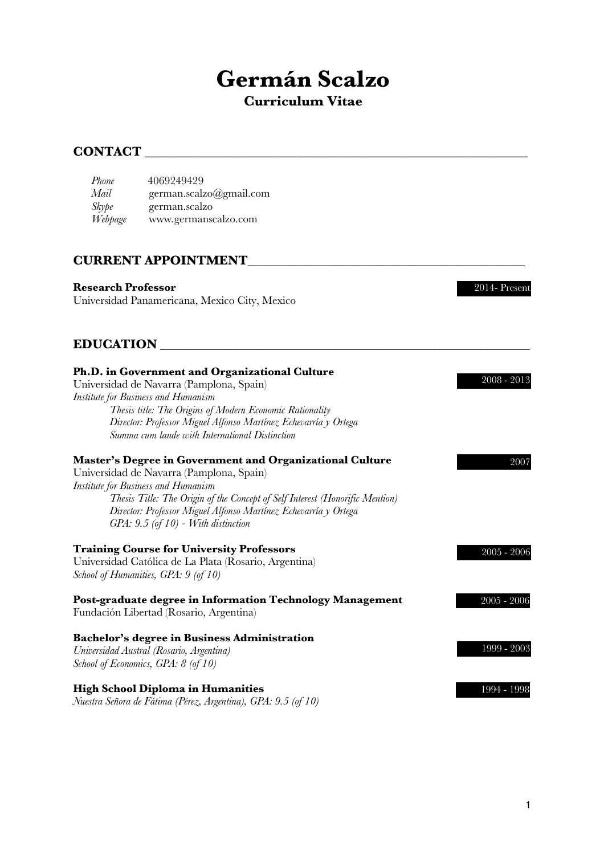# **Germán Scalzo**

## **Curriculum Vitae**

## **CONTACT**

| Phone   | 4069249429              |
|---------|-------------------------|
| Mail    | german.scalzo@gmail.com |
| Skype   | german.scalzo           |
| Webpage | www.germanscalzo.com    |

## **CURRENT APPOINTMENT**\_\_\_\_\_\_\_\_\_\_\_\_\_\_\_\_\_\_\_\_\_\_\_\_\_\_\_\_\_\_\_\_\_\_\_\_\_\_\_\_\_\_

#### **Research Professor**

Universidad Panamericana, Mexico City, Mexico

## **EDUCATION** \_\_\_\_\_\_\_\_\_\_\_\_\_\_\_\_\_\_\_\_\_\_\_\_\_\_\_\_\_\_\_\_\_\_\_\_\_\_\_\_\_\_\_\_\_\_\_\_\_\_\_\_\_\_\_\_

| Ph.D. in Government and Organizational Culture<br>Universidad de Navarra (Pamplona, Spain)<br>Institute for Business and Humanism<br>Thesis title: The Origins of Modern Economic Rationality<br>Director: Professor Miguel Alfonso Martínez Echevarría y Ortega<br>Summa cum laude with International Distinction                                    | 2008 - 2013   |
|-------------------------------------------------------------------------------------------------------------------------------------------------------------------------------------------------------------------------------------------------------------------------------------------------------------------------------------------------------|---------------|
| <b>Master's Degree in Government and Organizational Culture</b><br>Universidad de Navarra (Pamplona, Spain)<br><b>Institute for Business and Humanism</b><br>Thesis Title: The Origin of the Concept of Self Interest (Honorific Mention)<br>Director: Professor Miguel Alfonso Martínez Echevarría y Ortega<br>$GPA: 9.5$ (of 10) - With distinction | 2007          |
| <b>Training Course for University Professors</b><br>Universidad Católica de La Plata (Rosario, Argentina)<br>School of Humanities, GPA: 9 (of 10)                                                                                                                                                                                                     | $2005 - 2006$ |
| Post-graduate degree in Information Technology Management<br>Fundación Libertad (Rosario, Argentina)                                                                                                                                                                                                                                                  | $2005 - 2006$ |
| Bachelor's degree in Business Administration<br>Universidad Austral (Rosario, Argentina)<br>School of Economics, GPA: 8 (of 10)                                                                                                                                                                                                                       | 1999 - 2003   |
| <b>High School Diploma in Humanities</b><br>Nuestra Señora de Fátima (Pérez, Argentina), GPA: 9.5 (of 10)                                                                                                                                                                                                                                             | 1994 - 1998   |

2014- Present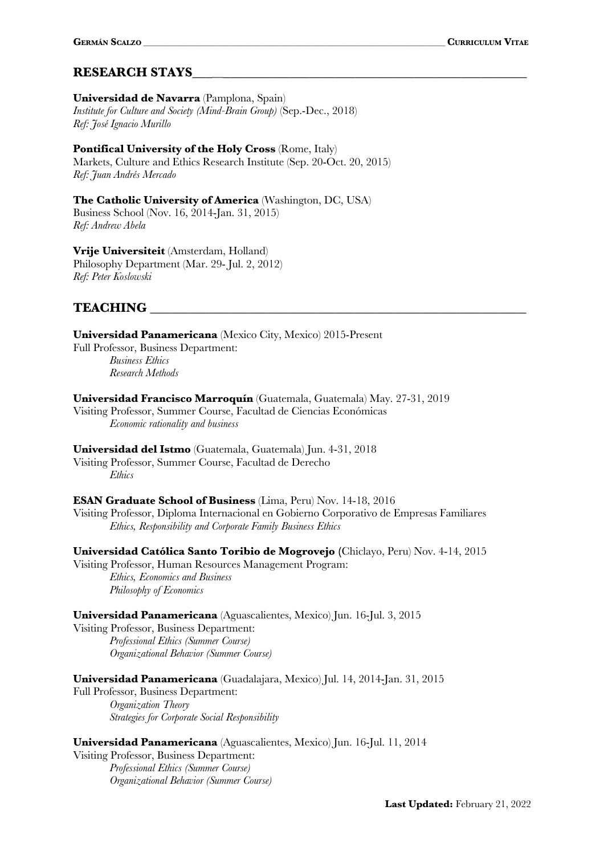## **RESEARCH STAYS**\_\_\_\_\_\_\_\_\_\_\_\_\_\_\_\_\_\_\_\_\_\_\_\_\_\_\_\_\_\_\_\_\_\_\_\_\_\_\_\_\_\_\_\_\_\_\_\_\_\_\_

## **Universidad de Navarra** (Pamplona, Spain)

*Institute for Culture and Society (Mind-Brain Group)* (Sep.-Dec., 2018) *Ref: José Ignacio Murillo*

#### **Pontifical University of the Holy Cross** (Rome, Italy)

Markets, Culture and Ethics Research Institute (Sep. 20-Oct. 20, 2015) *Ref: Juan Andrés Mercado*

**The Catholic University of America** (Washington, DC, USA) Business School (Nov. 16, 2014-Jan. 31, 2015) *Ref: Andrew Abela*

**Vrije Universiteit** (Amsterdam, Holland) Philosophy Department (Mar. 29- Jul. 2, 2012) *Ref: Peter Koslowski*

### **TEACHING** \_\_\_\_\_\_\_\_\_\_\_\_\_\_\_\_\_\_\_\_\_\_\_\_\_\_\_\_\_\_\_\_\_\_\_\_\_\_\_\_\_\_\_\_\_\_\_\_\_\_\_\_\_\_\_\_\_

**Universidad Panamericana** (Mexico City, Mexico) 2015-Present Full Professor, Business Department: *Business Ethics Research Methods*

**Universidad Francisco Marroquín** (Guatemala, Guatemala) May. 27-31, 2019 Visiting Professor, Summer Course, Facultad de Ciencias Económicas *Economic rationality and business*

**Universidad del Istmo** (Guatemala, Guatemala) Jun. 4-31, 2018

Visiting Professor, Summer Course, Facultad de Derecho *Ethics*

#### **ESAN Graduate School of Business** (Lima, Peru) Nov. 14-18, 2016

Visiting Professor, Diploma Internacional en Gobierno Corporativo de Empresas Familiares *Ethics, Responsibility and Corporate Family Business Ethics*

**Universidad Católica Santo Toribio de Mogrovejo (**Chiclayo, Peru) Nov. 4-14, 2015 Visiting Professor, Human Resources Management Program:

*Ethics, Economics and Business Philosophy of Economics*

**Universidad Panamericana** (Aguascalientes, Mexico) Jun. 16-Jul. 3, 2015

Visiting Professor, Business Department: *Professional Ethics (Summer Course) Organizational Behavior (Summer Course)*

**Universidad Panamericana** (Guadalajara, Mexico) Jul. 14, 2014-Jan. 31, 2015

Full Professor, Business Department: *Organization Theory Strategies for Corporate Social Responsibility*

**Universidad Panamericana** (Aguascalientes, Mexico) Jun. 16-Jul. 11, 2014

Visiting Professor, Business Department: *Professional Ethics (Summer Course) Organizational Behavior (Summer Course)*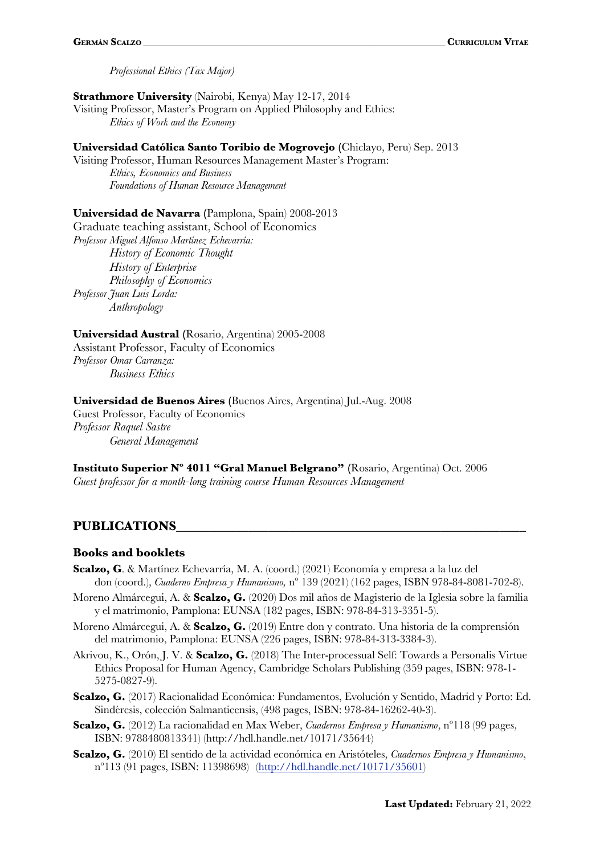*Professional Ethics (Tax Major)*

#### **Strathmore University** (Nairobi, Kenya) May 12-17, 2014

Visiting Professor, Master's Program on Applied Philosophy and Ethics: *Ethics of Work and the Economy*

#### **Universidad Católica Santo Toribio de Mogrovejo (**Chiclayo, Peru) Sep. 2013

Visiting Professor, Human Resources Management Master's Program: *Ethics, Economics and Business Foundations of Human Resource Management*

#### **Universidad de Navarra (**Pamplona, Spain) 2008-2013

Graduate teaching assistant, School of Economics *Professor Miguel Alfonso Martínez Echevarría: History of Economic Thought History of Enterprise Philosophy of Economics Professor Juan Luis Lorda: Anthropology*

#### **Universidad Austral (**Rosario, Argentina) 2005-2008

Assistant Professor, Faculty of Economics *Professor Omar Carranza: Business Ethics*

#### **Universidad de Buenos Aires (**Buenos Aires, Argentina) Jul.-Aug. 2008

Guest Professor, Faculty of Economics *Professor Raquel Sastre General Management*

**Instituto Superior Nº 4011 "Gral Manuel Belgrano" (**Rosario, Argentina) Oct. 2006 *Guest professor for a month-long training course Human Resources Management*

#### PUBLICATIONS

#### **Books and booklets**

- **Scalzo, G**. & Martínez Echevarría, M. A. (coord.) (2021) Economía y empresa a la luz del don (coord.), *Cuaderno Empresa y Humanismo,* nº 139 (2021) (162 pages, ISBN 978-84-8081-702-8).
- Moreno Almárcegui, A. & **Scalzo, G.** (2020) Dos mil años de Magisterio de la Iglesia sobre la familia y el matrimonio, Pamplona: EUNSA (182 pages, ISBN: 978-84-313-3351-5).
- Moreno Almárcegui, A. & **Scalzo, G.** (2019) Entre don y contrato. Una historia de la comprensión del matrimonio, Pamplona: EUNSA (226 pages, ISBN: 978-84-313-3384-3).
- Akrivou, K., Orón, J. V. & **Scalzo, G.** (2018) The Inter-processual Self: Towards a Personalis Virtue Ethics Proposal for Human Agency, Cambridge Scholars Publishing (359 pages, ISBN: 978-1- 5275-0827-9).
- Scalzo, G. (2017) Racionalidad Económica: Fundamentos, Evolución y Sentido, Madrid y Porto: Ed. Sindéresis, colección Salmanticensis, (498 pages, ISBN: 978-84-16262-40-3).
- **Scalzo, G.** (2012) La racionalidad en Max Weber, *Cuadernos Empresa y Humanismo*, nº118 (99 pages, ISBN: 9788480813341) (http://hdl.handle.net/10171/35644)
- **Scalzo, G.** (2010) El sentido de la actividad económica en Aristóteles, *Cuadernos Empresa y Humanismo*, nº113 (91 pages, ISBN: 11398698) (http://hdl.handle.net/10171/35601)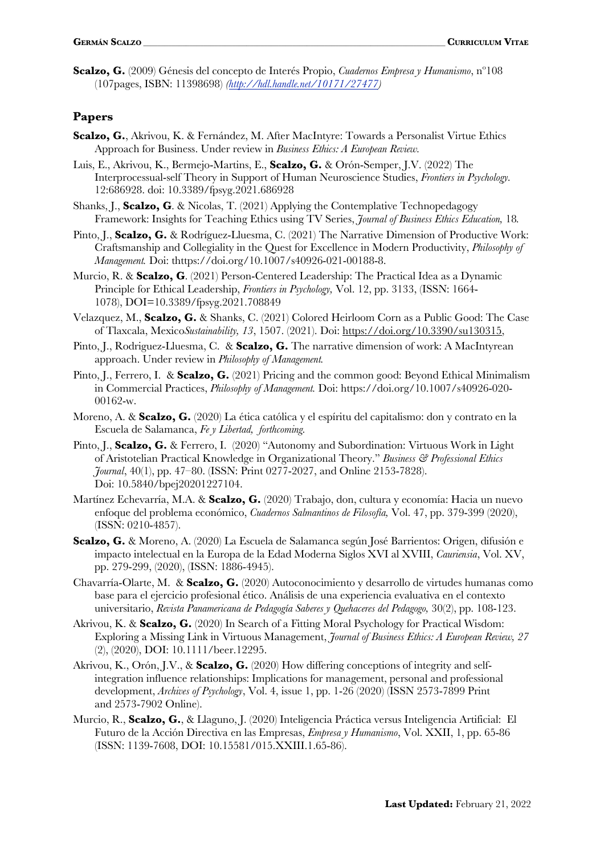**Scalzo, G.** (2009) Génesis del concepto de Interés Propio, *Cuadernos Empresa y Humanismo*, nº108 (107pages, ISBN: 11398698) *(http://hdl.handle.net/10171/27477)*

#### **Papers**

- **Scalzo, G.**, Akrivou, K. & Fernández, M. After MacIntyre: Towards a Personalist Virtue Ethics Approach for Business. Under review in *Business Ethics: A European Review.*
- Luis, E., Akrivou, K., Bermejo-Martins, E., **Scalzo, G.** & Orón-Semper, J.V. (2022) The Interprocessual-self Theory in Support of Human Neuroscience Studies, *Frontiers in Psychology.* 12:686928. doi: 10.3389/fpsyg.2021.686928
- Shanks, J., **Scalzo, G**. & Nicolas, T. (2021) Applying the Contemplative Technopedagogy Framework: Insights for Teaching Ethics using TV Series, *Journal of Business Ethics Education,* 18*.*
- Pinto, J., **Scalzo, G.** & Rodríguez-Lluesma, C. (2021) The Narrative Dimension of Productive Work: Craftsmanship and Collegiality in the Quest for Excellence in Modern Productivity, *Philosophy of Management.* Doi: thttps://doi.org/10.1007/s40926-021-00188-8.
- Murcio, R. & **Scalzo, G**. (2021) Person-Centered Leadership: The Practical Idea as a Dynamic Principle for Ethical Leadership, *Frontiers in Psychology,* Vol. 12, pp. 3133, (ISSN: 1664- 1078), DOI=10.3389/fpsyg.2021.708849
- Velazquez, M., **Scalzo, G.** & Shanks, C. (2021) Colored Heirloom Corn as a Public Good: The Case of Tlaxcala, Mexico*Sustainability, 13*, 1507. (2021). Doi: https://doi.org/10.3390/su130315,
- Pinto, J., Rodriguez-Lluesma, C. & **Scalzo, G.** The narrative dimension of work: A MacIntyrean approach. Under review in *Philosophy of Management.*
- Pinto, J., Ferrero, I. & **Scalzo, G.** (2021) Pricing and the common good: Beyond Ethical Minimalism in Commercial Practices, *Philosophy of Management.* Doi: https://doi.org/10.1007/s40926-020- 00162-w.
- Moreno, A. & **Scalzo, G.** (2020) La ética católica y el espíritu del capitalismo: don y contrato en la Escuela de Salamanca, *Fe y Libertad, forthcoming.*
- Pinto, J., **Scalzo, G.** & Ferrero, I. (2020) "Autonomy and Subordination: Virtuous Work in Light of Aristotelian Practical Knowledge in Organizational Theory." *Business & Professional Ethics Journal*, 40(1), pp. 47–80. (ISSN: Print 0277-2027, and Online 2153-7828). Doi: 10.5840/bpej20201227104.
- Martínez Echevarría, M.A. & **Scalzo, G.** (2020) Trabajo, don, cultura y economía: Hacia un nuevo enfoque del problema económico, *Cuadernos Salmantinos de Filosofía,* Vol. 47, pp. 379-399 (2020), (ISSN: 0210-4857).
- **Scalzo, G.** & Moreno, A. (2020) La Escuela de Salamanca según José Barrientos: Origen, difusión e impacto intelectual en la Europa de la Edad Moderna Siglos XVI al XVIII, *Cauriensia*, Vol. XV, pp. 279-299, (2020), (ISSN: 1886-4945).
- Chavarría-Olarte, M. & **Scalzo, G.** (2020) Autoconocimiento y desarrollo de virtudes humanas como base para el ejercicio profesional ético. Análisis de una experiencia evaluativa en el contexto universitario, *Revista Panamericana de Pedagogía Saberes y Quehaceres del Pedagogo,* 30(2), pp. 108-123.
- Akrivou, K. & **Scalzo, G.** (2020) In Search of a Fitting Moral Psychology for Practical Wisdom: Exploring a Missing Link in Virtuous Management, *Journal of Business Ethics: A European Review, 27* (2), (2020), DOI: 10.1111/beer.12295.
- Akrivou, K., Orón, J.V., & **Scalzo, G.** (2020) How differing conceptions of integrity and selfintegration influence relationships: Implications for management, personal and professional development, *Archives of Psychology*, Vol. 4, issue 1, pp. 1-26 (2020) (ISSN 2573-7899 Print and 2573-7902 Online).
- Murcio, R., **Scalzo, G.**, & Llaguno, J. (2020) Inteligencia Práctica versus Inteligencia Artificial: El Futuro de la Acción Directiva en las Empresas, *Empresa y Humanismo*, Vol. XXII, 1, pp. 65-86 (ISSN: 1139-7608, DOI: 10.15581/015.XXIII.1.65-86).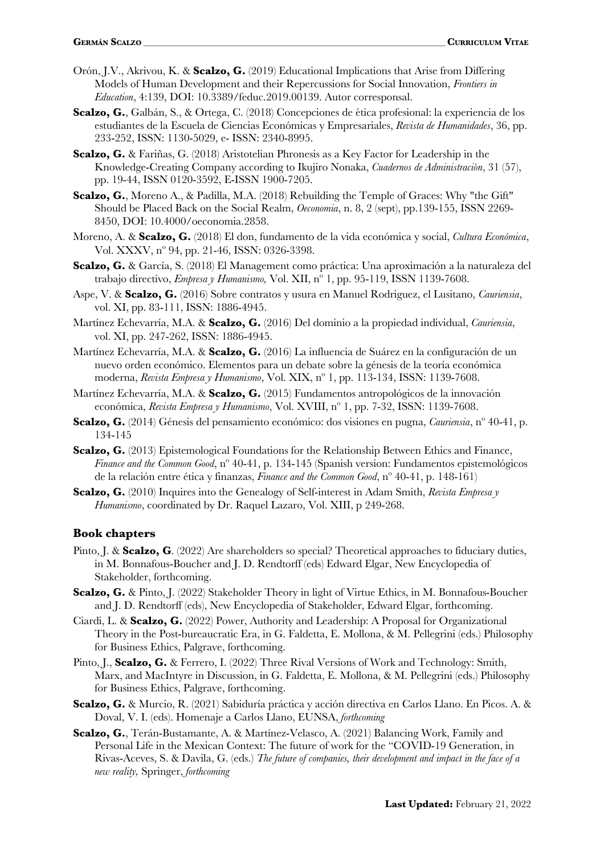- Orón, J.V., Akrivou, K. & **Scalzo, G.** (2019) Educational Implications that Arise from Differing Models of Human Development and their Repercussions for Social Innovation, *Frontiers in Education*, 4:139, DOI: 10.3389/feduc.2019.00139. Autor corresponsal.
- Scalzo, G., Galbán, S., & Ortega, C. (2018) Concepciones de ética profesional: la experiencia de los estudiantes de la Escuela de Ciencias Económicas y Empresariales, Revista de Humanidades, 36, pp. 233-252, ISSN: 1130-5029, e- ISSN: 2340-8995.
- **Scalzo, G.** & Fariñas, G. (2018) Aristotelian Phronesis as a Key Factor for Leadership in the Knowledge-Creating Company according to Ikujiro Nonaka, *Cuadernos de Administración*, 31 (57), pp. 19-44, ISSN 0120-3592, E-ISSN 1900-7205.
- **Scalzo, G.**, Moreno A., & Padilla, M.A. (2018) Rebuilding the Temple of Graces: Why "the Gift" Should be Placed Back on the Social Realm, *Oeconomia*, n. 8, 2 (sept), pp.139-155, ISSN 2269- 8450, DOI: 10.4000/oeconomia.2858.
- Moreno, A. & Scalzo, G. (2018) El don, fundamento de la vida económica y social, *Cultura Económica*, Vol. XXXV, nº 94, pp. 21-46, ISSN: 0326-3398.
- **Scalzo, G.** & García, S. (2018) El Management como práctica: Una aproximación a la naturaleza del trabajo directivo, *Empresa y Humanismo,* Vol. XII, nº 1, pp. 95-119, ISSN 1139-7608.
- Aspe, V. & **Scalzo, G.** (2016) Sobre contratos y usura en Manuel Rodriguez, el Lusitano, *Cauriensia*, vol. XI, pp. 83-111, ISSN: 1886-4945.
- Martínez Echevarría, M.A. & **Scalzo, G.** (2016) Del dominio a la propiedad individual, *Cauriensia*, vol. XI, pp. 247-262, ISSN: 1886-4945.
- Martínez Echevarría, M.A. & **Scalzo, G.** (2016) La influencia de Suárez en la configuración de un nuevo orden económico. Elementos para un debate sobre la génesis de la teoría económica moderna, *Revista Empresa y Humanismo*, Vol. XIX, nº 1, pp. 113-134, ISSN: 1139-7608.
- Martínez Echevarría, M.A. & **Scalzo, G.** (2015) Fundamentos antropológicos de la innovación económica, *Revista Empresa y Humanismo*, Vol. XVIII, nº 1, pp. 7-32, ISSN: 1139-7608.
- **Scalzo, G.** (2014) Génesis del pensamiento económico: dos visiones en pugna, *Cauriensia*, nº 40-41, p. 134-145
- **Scalzo, G.** (2013) Epistemological Foundations for the Relationship Between Ethics and Finance, *Finance and the Common Good*, nº 40-41, p. 134-145 (Spanish version: Fundamentos epistemológicos de la relación entre ética y finanzas, *Finance and the Common Good*, nº 40-41, p. 148-161)
- **Scalzo, G.** (2010) Inquires into the Genealogy of Self-interest in Adam Smith, *Revista Empresa y Humanismo*, coordinated by Dr. Raquel Lazaro, Vol. XIII, p 249-268.

#### **Book chapters**

- Pinto, J. & **Scalzo, G**. (2022) Are shareholders so special? Theoretical approaches to fiduciary duties, in M. Bonnafous-Boucher and J. D. Rendtorff (eds) Edward Elgar, New Encyclopedia of Stakeholder, forthcoming.
- **Scalzo, G.** & Pinto, J. (2022) Stakeholder Theory in light of Virtue Ethics, in M. Bonnafous-Boucher and J. D. Rendtorff (eds), New Encyclopedia of Stakeholder, Edward Elgar, forthcoming.
- Ciardi, L. & **Scalzo, G.** (2022) Power, Authority and Leadership: A Proposal for Organizational Theory in the Post-bureaucratic Era, in G. Faldetta, E. Mollona, & M. Pellegrini (eds.) Philosophy for Business Ethics, Palgrave, forthcoming.
- Pinto, J., **Scalzo, G.** & Ferrero, I. (2022) Three Rival Versions of Work and Technology: Smith, Marx, and MacIntyre in Discussion, in G. Faldetta, E. Mollona, & M. Pellegrini (eds.) Philosophy for Business Ethics, Palgrave, forthcoming.
- **Scalzo, G.** & Murcio, R. (2021) Sabiduría práctica y acción directiva en Carlos Llano. En Picos. A. & Doval, V. I. (eds). Homenaje a Carlos Llano, EUNSA, *forthcoming*
- **Scalzo, G.**, Terán-Bustamante, A. & Martínez-Velasco, A. (2021) Balancing Work, Family and Personal Life in the Mexican Context: The future of work for the "COVID-19 Generation, in Rivas-Aceves, S. & Davila, G. (eds.) *The future of companies, their development and impact in the face of a new reality,* Springer, *forthcoming*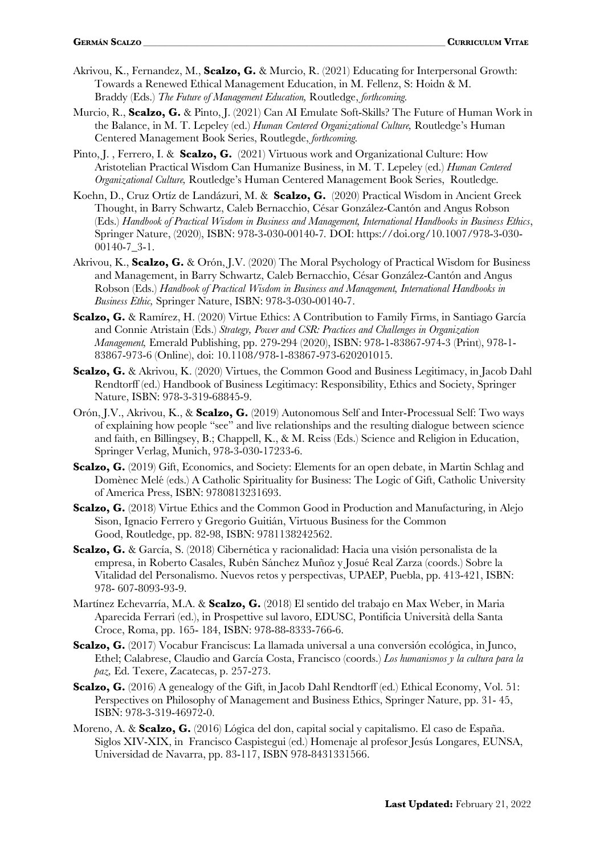- Akrivou, K., Fernandez, M., **Scalzo, G.** & Murcio, R. (2021) Educating for Interpersonal Growth: Towards a Renewed Ethical Management Education, in M. Fellenz, S: Hoidn & M. Braddy (Eds.) *The Future of Management Education,* Routledge, *forthcoming.*
- Murcio, R., **Scalzo, G.** & Pinto, J. (2021) Can AI Emulate Soft-Skills? The Future of Human Work in the Balance, in M. T. Lepeley (ed.) *Human Centered Organizational Culture,* Routledge's Human Centered Management Book Series, Routlegde, *forthcoming.*
- Pinto, J. , Ferrero, I. & **Scalzo, G.** (2021) Virtuous work and Organizational Culture: How Aristotelian Practical Wisdom Can Humanize Business, in M. T. Lepeley (ed.) *Human Centered Organizational Culture,* Routledge's Human Centered Management Book Series, Routledge*.*
- Koehn, D., Cruz Ortíz de Landázuri, M. & **Scalzo, G.** (2020) Practical Wisdom in Ancient Greek Thought, in Barry Schwartz, Caleb Bernacchio, César González-Cantón and Angus Robson (Eds.) *Handbook of Practical Wisdom in Business and Management, International Handbooks in Business Ethics*, Springer Nature, (2020), ISBN: 978-3-030-00140-7*.* DOI: https://doi.org/10.1007/978-3-030- 00140-7\_3-1.
- Akrivou, K., **Scalzo, G.** & Orón, J.V. (2020) The Moral Psychology of Practical Wisdom for Business and Management, in Barry Schwartz, Caleb Bernacchio, César González-Cantón and Angus Robson (Eds.) *Handbook of Practical Wisdom in Business and Management, International Handbooks in Business Ethic,* Springer Nature, ISBN: 978-3-030-00140-7.
- **Scalzo, G.** & Ramírez, H. (2020) Virtue Ethics: A Contribution to Family Firms, in Santiago García and Connie Atristain (Eds.) *Strategy, Power and CSR: Practices and Challenges in Organization Management,* Emerald Publishing, pp. 279-294 (2020), ISBN: 978-1-83867-974-3 (Print), 978-1- 83867-973-6 (Online), doi: 10.1108/978-1-83867-973-620201015.
- **Scalzo, G.** & Akrivou, K. (2020) Virtues, the Common Good and Business Legitimacy, in Jacob Dahl Rendtorff (ed.) Handbook of Business Legitimacy: Responsibility, Ethics and Society, Springer Nature, ISBN: 978-3-319-68845-9.
- Orón, J.V., Akrivou, K., & **Scalzo, G.** (2019) Autonomous Self and Inter-Processual Self: Two ways of explaining how people "see" and live relationships and the resulting dialogue between science and faith, en Billingsey, B.; Chappell, K., & M. Reiss (Eds.) Science and Religion in Education, Springer Verlag, Munich, 978-3-030-17233-6.
- **Scalzo, G.** (2019) Gift, Economics, and Society: Elements for an open debate, in Martin Schlag and Domènec Melé (eds.) A Catholic Spirituality for Business: The Logic of Gift, Catholic University of America Press, ISBN: 9780813231693.
- **Scalzo, G.** (2018) Virtue Ethics and the Common Good in Production and Manufacturing, in Alejo Sison, Ignacio Ferrero y Gregorio Guitian, Virtuous Business for the Common ́ Good, Routledge, pp. 82-98, ISBN: 9781138242562.
- **Scalzo, G.** & García, S. (2018) Cibernética y racionalidad: Hacia una visión personalista de la empresa, in Roberto Casales, Rubén Sánchez Muñoz y Josué Real Zarza (coords.) Sobre la Vitalidad del Personalismo. Nuevos retos y perspectivas, UPAEP, Puebla, pp. 413-421, ISBN: 978- 607-8093-93-9.
- Martínez Echevarría, M.A. & **Scalzo, G.** (2018) El sentido del trabajo en Max Weber, in Maria Aparecida Ferrari (ed.), in Prospettive sul lavoro, EDUSC, Pontificia Universitàdella Santa Croce, Roma, pp. 165- 184, ISBN: 978-88-8333-766-6.
- **Scalzo, G.** (2017) Vocabur Franciscus: La llamada universal a una conversión ecológica, in Junco, Ethel; Calabrese, Claudio and García Costa, Francisco (coords.) *Los humanismos y la cultura para la paz,* Ed. Texere, Zacatecas, p. 257-273.
- **Scalzo, G.** (2016) A genealogy of the Gift, in Jacob Dahl Rendtorff (ed.) Ethical Economy, Vol. 51: Perspectives on Philosophy of Management and Business Ethics, Springer Nature, pp. 31- 45, ISBN: 978-3-319-46972-0.
- Moreno, A. & **Scalzo, G.** (2016) Lógica del don, capital social y capitalismo. El caso de España. Siglos XIV-XIX, in Francisco Caspistegui (ed.) Homenaje al profesor Jesús Longares, EUNSA, Universidad de Navarra, pp. 83-117, ISBN 978-8431331566.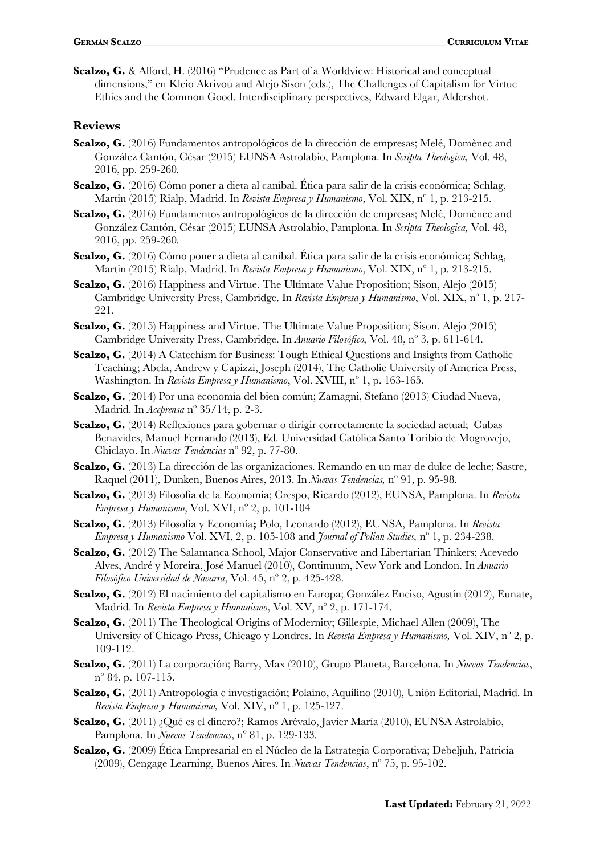**Scalzo, G.** & Alford, H. (2016) "Prudence as Part of a Worldview: Historical and conceptual dimensions," en Kleio Akrivou and Alejo Sison (eds.), The Challenges of Capitalism for Virtue Ethics and the Common Good. Interdisciplinary perspectives, Edward Elgar, Aldershot.

#### **Reviews**

- **Scalzo, G.** (2016) Fundamentos antropológicos de la dirección de empresas; Melé, Domènec and González Cantón, César (2015) EUNSA Astrolabio, Pamplona. In *Scripta Theologica,* Vol. 48, 2016, pp. 259-260*.*
- **Scalzo, G.** (2016) Cómo poner a dieta al caníbal. Ética para salir de la crisis económica; Schlag, Martin (2015) Rialp, Madrid. In *Revista Empresa y Humanismo*, Vol. XIX, nº 1, p. 213-215.
- **Scalzo, G.** (2016) Fundamentos antropológicos de la dirección de empresas; Melé, Domènec and González Cantón, César (2015) EUNSA Astrolabio, Pamplona. In *Scripta Theologica,* Vol. 48, 2016, pp. 259-260*.*
- **Scalzo, G.** (2016) Cómo poner a dieta al caníbal. Ética para salir de la crisis económica; Schlag, Martin (2015) Rialp, Madrid. In *Revista Empresa y Humanismo*, Vol. XIX, nº 1, p. 213-215.
- **Scalzo, G.** (2016) Happiness and Virtue. The Ultimate Value Proposition: Sison, Alejo (2015) Cambridge University Press, Cambridge. In *Revista Empresa y Humanismo*, Vol. XIX, nº 1, p. 217- 221.
- **Scalzo, G.** (2015) Happiness and Virtue. The Ultimate Value Proposition; Sison, Alejo (2015) Cambridge University Press, Cambridge. In *Anuario Filosófico,* Vol. 48, nº 3, p. 611-614.
- **Scalzo, G.** (2014) A Catechism for Business: Tough Ethical Questions and Insights from Catholic Teaching; Abela, Andrew y Capizzi, Joseph (2014), The Catholic University of America Press, Washington. In *Revista Empresa y Humanismo*, Vol. XVIII, nº 1, p. 163-165.
- **Scalzo, G.** (2014) Por una economía del bien común; Zamagni, Stefano (2013) Ciudad Nueva, Madrid. In *Aceprensa* nº 35/14, p. 2-3.
- **Scalzo, G.** (2014) Reflexiones para gobernar o dirigir correctamente la sociedad actual; Cubas Benavides, Manuel Fernando (2013), Ed. Universidad Católica Santo Toribio de Mogrovejo, Chiclayo. In *Nuevas Tendencias* nº 92, p. 77-80.
- **Scalzo, G.** (2013) La dirección de las organizaciones. Remando en un mar de dulce de leche; Sastre, Raquel (2011), Dunken, Buenos Aires, 2013. In *Nuevas Tendencias,* nº 91, p. 95-98.
- **Scalzo, G.** (2013) Filosofía de la Economía; Crespo, Ricardo (2012), EUNSA, Pamplona. In *Revista Empresa y Humanismo*, Vol. XVI, nº 2, p. 101-104
- **Scalzo, G.** (2013) Filosofía y Economía**;** Polo, Leonardo (2012), EUNSA, Pamplona. In *Revista Empresa y Humanismo* Vol. XVI, 2, p. 105-108 and *Journal of Polian Studies,* nº 1, p. 234-238.
- **Scalzo, G.** (2012) The Salamanca School, Major Conservative and Libertarian Thinkers; Acevedo Alves, André y Moreira, José Manuel (2010), Continuum, New York and London. In *Anuario Filosófico Universidad de Navarra*, Vol. 45, nº 2, p. 425-428.
- **Scalzo, G.** (2012) El nacimiento del capitalismo en Europa; González Enciso, Agustín (2012), Eunate, Madrid. In *Revista Empresa y Humanismo*, Vol. XV, nº 2, p. 171-174.
- **Scalzo, G.** (2011) The Theological Origins of Modernity; Gillespie, Michael Allen (2009), The University of Chicago Press, Chicago y Londres. In *Revista Empresa y Humanismo,* Vol. XIV, nº 2, p. 109-112.
- **Scalzo, G.** (2011) La corporación; Barry, Max (2010), Grupo Planeta, Barcelona. In *Nuevas Tendencias*, nº 84, p. 107-115.
- **Scalzo, G.** (2011) Antropología e investigación; Polaino, Aquilino (2010), Unión Editorial, Madrid. In *Revista Empresa y Humanismo,* Vol. XIV, nº 1, p. 125-127.
- **Scalzo, G.** (2011) ¿Qué es el dinero?; Ramos Arévalo, Javier María (2010), EUNSA Astrolabio, Pamplona. In *Nuevas Tendencias*, nº 81, p. 129-133*.*
- **Scalzo, G.** (2009) Ética Empresarial en el Núcleo de la Estrategia Corporativa; Debeljuh, Patricia (2009), Cengage Learning, Buenos Aires. In *Nuevas Tendencias*, nº 75, p. 95-102.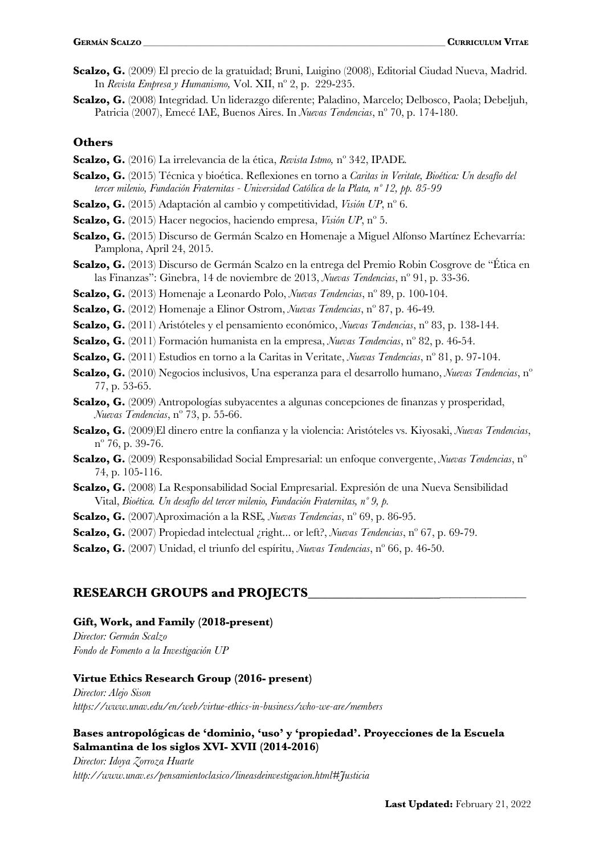- **Scalzo, G.** (2009) El precio de la gratuidad; Bruni, Luigino (2008), Editorial Ciudad Nueva, Madrid. In *Revista Empresa y Humanismo,* Vol. XII, nº 2, p. 229-235.
- **Scalzo, G.** (2008) Integridad. Un liderazgo diferente; Paladino, Marcelo; Delbosco, Paola; Debeljuh, Patricia (2007), Emecé IAE, Buenos Aires. In *Nuevas Tendencias*, nº 70, p. 174-180.

#### **Others**

- **Scalzo, G.** (2016) La irrelevancia de la ética, *Revista Istmo,* nº 342, IPADE*.*
- **Scalzo, G.** (2015) Técnica y bioética. Reflexiones en torno a *Caritas in Veritate, Bioética: Un desafío del tercer milenio, Fundación Fraternitas - Universidad Católica de la Plata, nº 12, pp. 85-99*
- **Scalzo, G.** (2015) Adaptación al cambio y competitividad, *Visión UP*, nº 6.
- **Scalzo, G.** (2015) Hacer negocios, haciendo empresa, *Visión UP*, nº 5.
- **Scalzo, G.** (2015) Discurso de Germán Scalzo en Homenaje a Miguel Alfonso Martínez Echevarría: Pamplona, April 24, 2015.
- **Scalzo, G.** (2013) Discurso de Germán Scalzo en la entrega del Premio Robin Cosgrove de "Ética en las Finanzas": Ginebra, 14 de noviembre de 2013, *Nuevas Tendencias*, nº 91, p. 33-36.
- **Scalzo, G.** (2013) Homenaje a Leonardo Polo, *Nuevas Tendencias*, nº 89, p. 100-104.
- **Scalzo, G.** (2012) Homenaje a Elinor Ostrom, *Nuevas Tendencias*, nº 87, p. 46-49*.*
- **Scalzo, G.** (2011) Aristóteles y el pensamiento económico, *Nuevas Tendencias*, nº 83, p. 138-144.
- **Scalzo, G.** (2011) Formación humanista en la empresa, *Nuevas Tendencias*, nº 82, p. 46-54.
- **Scalzo, G.** (2011) Estudios en torno a la Caritas in Veritate, *Nuevas Tendencias*, nº 81, p. 97-104.
- **Scalzo, G.** (2010) Negocios inclusivos, Una esperanza para el desarrollo humano, *Nuevas Tendencias*, nº 77, p. 53-65.
- **Scalzo, G.** (2009) Antropologías subyacentes a algunas concepciones de finanzas y prosperidad, *Nuevas Tendencias*, nº 73, p. 55-66.
- **Scalzo, G.** (2009)El dinero entre la confianza y la violencia: Aristóteles vs. Kiyosaki, *Nuevas Tendencias*, nº 76, p. 39-76.
- **Scalzo, G.** (2009) Responsabilidad Social Empresarial: un enfoque convergente, *Nuevas Tendencias*, nº 74, p. 105-116.
- **Scalzo, G.** (2008) La Responsabilidad Social Empresarial. Expresión de una Nueva Sensibilidad Vital, *Bioética. Un desafío del tercer milenio, Fundación Fraternitas, nº 9, p.*
- **Scalzo, G.** (2007)Aproximación a la RSE*, Nuevas Tendencias*, nº 69, p. 86-95.
- **Scalzo, G.** (2007) Propiedad intelectual ¿right... or left?, *Nuevas Tendencias*, nº 67, p. 69-79.
- **Scalzo, G.** (2007) Unidad, el triunfo del espíritu, *Nuevas Tendencias*, nº 66, p. 46-50.

#### **RESEARCH GROUPS and PROJECTS**\_\_\_\_\_\_\_\_\_\_\_\_\_\_\_\_\_\_\_\_\_\_\_\_\_\_\_\_\_\_\_\_\_\_\_\_\_

#### **Gift, Work, and Family (2018-present)**

*Director: Germán Scalzo Fondo de Fomento a la Investigación UP*

#### **Virtue Ethics Research Group (2016- present)**

*Director: Alejo Sison https://www.unav.edu/en/web/virtue-ethics-in-business/who-we-are/members*

#### **Bases antropológicas de 'dominio, 'uso' y 'propiedad'. Proyecciones de la Escuela Salmantina de los siglos XVI- XVII (2014-2016)**

*Director: Idoya Zorroza Huarte http://www.unav.es/pensamientoclasico/lineasdeinvestigacion.html#Justicia*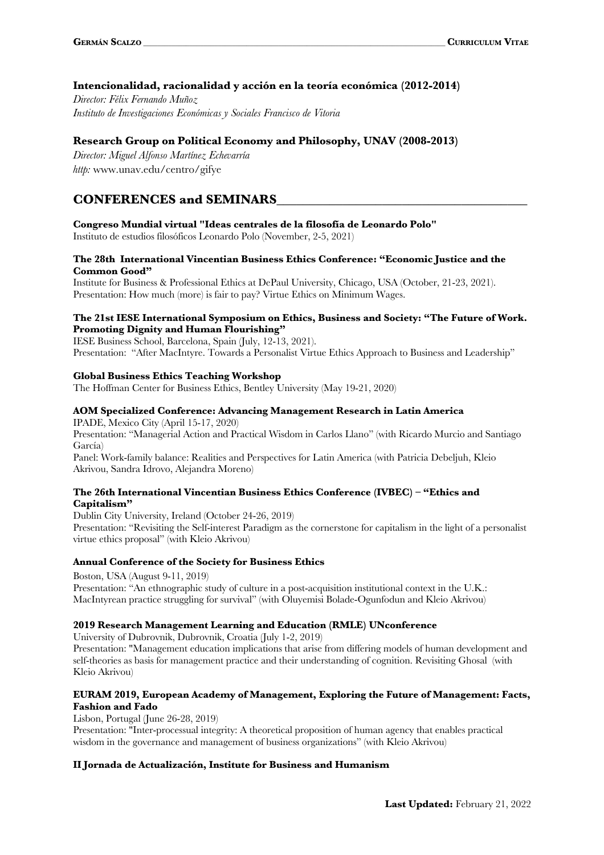#### **Intencionalidad, racionalidad y acción en la teoría económica (2012-2014)**

*Director: Félix Fernando Muñoz Instituto de Investigaciones Económicas y Sociales Francisco de Vitoria*

#### **Research Group on Political Economy and Philosophy, UNAV (2008-2013)**

*Director: Miguel Alfonso Martínez Echevarría http:* www.unav.edu/centro/gifye

## **CONFERENCES and SEMINARS**\_\_\_\_\_\_\_\_\_\_\_\_\_\_\_\_\_\_\_\_\_\_\_\_\_\_\_\_\_\_\_\_\_\_\_\_\_\_

**Congreso Mundial virtual "Ideas centrales de la filosofía de Leonardo Polo"**

Instituto de estudios filosóficos Leonardo Polo (November, 2-5, 2021)

#### **The 28th International Vincentian Business Ethics Conference: "Economic Justice and the Common Good"**

Institute for Business & Professional Ethics at DePaul University, Chicago, USA (October, 21-23, 2021). Presentation: How much (more) is fair to pay? Virtue Ethics on Minimum Wages.

#### **The 21st IESE International Symposium on Ethics, Business and Society: "The Future of Work. Promoting Dignity and Human Flourishing"**

IESE Business School, Barcelona, Spain (July, 12-13, 2021).

Presentation: "After MacIntyre. Towards a Personalist Virtue Ethics Approach to Business and Leadership"

#### **Global Business Ethics Teaching Workshop**

The Hoffman Center for Business Ethics, Bentley University (May 19-21, 2020)

#### **AOM Specialized Conference: Advancing Management Research in Latin America**

IPADE, Mexico City (April 15-17, 2020) Presentation: "Managerial Action and Practical Wisdom in Carlos Llano" (with Ricardo Murcio and Santiago García)

Panel: Work-family balance: Realities and Perspectives for Latin America (with Patricia Debeljuh, Kleio Akrivou, Sandra Idrovo, Alejandra Moreno)

#### **The 26th International Vincentian Business Ethics Conference (IVBEC) – "Ethics and Capitalism"**

Dublin City University, Ireland (October 24-26, 2019) Presentation: "Revisiting the Self-interest Paradigm as the cornerstone for capitalism in the light of a personalist virtue ethics proposal" (with Kleio Akrivou)

#### **Annual Conference of the Society for Business Ethics**

Boston, USA (August 9-11, 2019) Presentation: "An ethnographic study of culture in a post-acquisition institutional context in the U.K.: MacIntyrean practice struggling for survival" (with Oluyemisi Bolade-Ogunfodun and Kleio Akrivou)

#### **2019 Research Management Learning and Education (RMLE) UNconference**

University of Dubrovnik, Dubrovnik, Croatia (July 1-2, 2019)

Presentation: "Management education implications that arise from differing models of human development and self-theories as basis for management practice and their understanding of cognition. Revisiting Ghosal (with Kleio Akrivou)

#### **EURAM 2019, European Academy of Management, Exploring the Future of Management: Facts, Fashion and Fado**

Lisbon, Portugal (June 26-28, 2019)

Presentation: "Inter-processual integrity: A theoretical proposition of human agency that enables practical wisdom in the governance and management of business organizations" (with Kleio Akrivou)

#### **II Jornada de Actualización, Institute for Business and Humanism**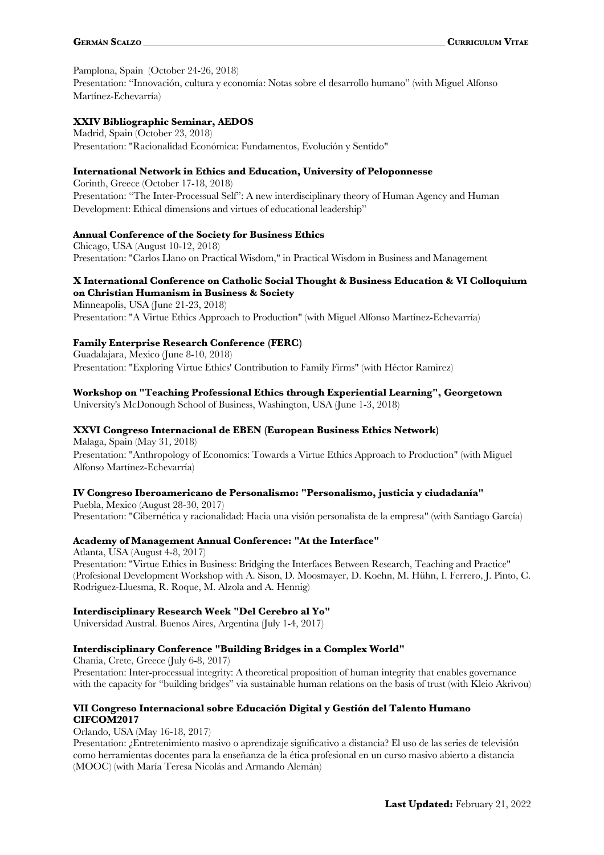#### Pamplona, Spain (October 24-26, 2018)

Presentation: "Innovación, cultura y economía: Notas sobre el desarrollo humano" (with Miguel Alfonso Martínez-Echevarría)

#### **XXIV Bibliographic Seminar, AEDOS**

Madrid, Spain (October 23, 2018) Presentation: "Racionalidad Económica: Fundamentos, Evolución y Sentido"

#### **International Network in Ethics and Education, University of Peloponnesse**

Corinth, Greece (October 17-18, 2018) Presentation: "Τhe Inter-Processual Self": A new interdisciplinary theory of Human Agency and Human Development: Ethical dimensions and virtues of educational leadership"

#### **Annual Conference of the Society for Business Ethics**

Chicago, USA (August 10-12, 2018) Presentation: "Carlos Llano on Practical Wisdom," in Practical Wisdom in Business and Management

#### **X International Conference on Catholic Social Thought & Business Education & VI Colloquium on Christian Humanism in Business & Society**

Minneapolis, USA (June 21-23, 2018) Presentation: "A Virtue Ethics Approach to Production" (with Miguel Alfonso Martínez-Echevarría)

#### **Family Enterprise Research Conference (FERC)**

Guadalajara, Mexico (June 8-10, 2018) Presentation: "Exploring Virtue Ethics' Contribution to Family Firms" (with Héctor Ramirez)

#### **Workshop on "Teaching Professional Ethics through Experiential Learning", Georgetown**

University's McDonough School of Business, Washington, USA (June 1-3, 2018)

#### **XXVI Congreso Internacional de EBEN (European Business Ethics Network)**

Malaga, Spain (May 31, 2018) Presentation: "Anthropology of Economics: Towards a Virtue Ethics Approach to Production" (with Miguel Alfonso Martínez-Echevarría)

#### **IV Congreso Iberoamericano de Personalismo: "Personalismo, justicia y ciudadanía"**

Puebla, Mexico (August 28-30, 2017) Presentation: "Cibernética y racionalidad: Hacia una visión personalista de la empresa" (with Santiago García)

#### **Academy of Management Annual Conference: "At the Interface"**

Atlanta, USA (August 4-8, 2017) Presentation: "Virtue Ethics in Business: Bridging the Interfaces Between Research, Teaching and Practice" (Profesional Development Workshop with A. Sison, D. Moosmayer, D. Koehn, M. Hühn, I. Ferrero, J. Pinto, C. Rodriguez-Lluesma, R. Roque, M. Alzola and A. Hennig)

#### **Interdisciplinary Research Week "Del Cerebro al Yo"**

Universidad Austral. Buenos Aires, Argentina (July 1-4, 2017)

#### **Interdisciplinary Conference "Building Bridges in a Complex World"**

Chania, Crete, Greece (July 6-8, 2017) Presentation: Inter-processual integrity: A theoretical proposition of human integrity that enables governance with the capacity for "building bridges" via sustainable human relations on the basis of trust (with Kleio Akrivou)

#### **VII Congreso Internacional sobre Educación Digital y Gestión del Talento Humano CIFCOM2017**

Orlando, USA (May 16-18, 2017)

Presentation: ¿Entretenimiento masivo o aprendizaje significativo a distancia? El uso de las series de televisión como herramientas docentes para la enseñanza de la ética profesional en un curso masivo abierto a distancia (MOOC) (with María Teresa Nicolás and Armando Alemán)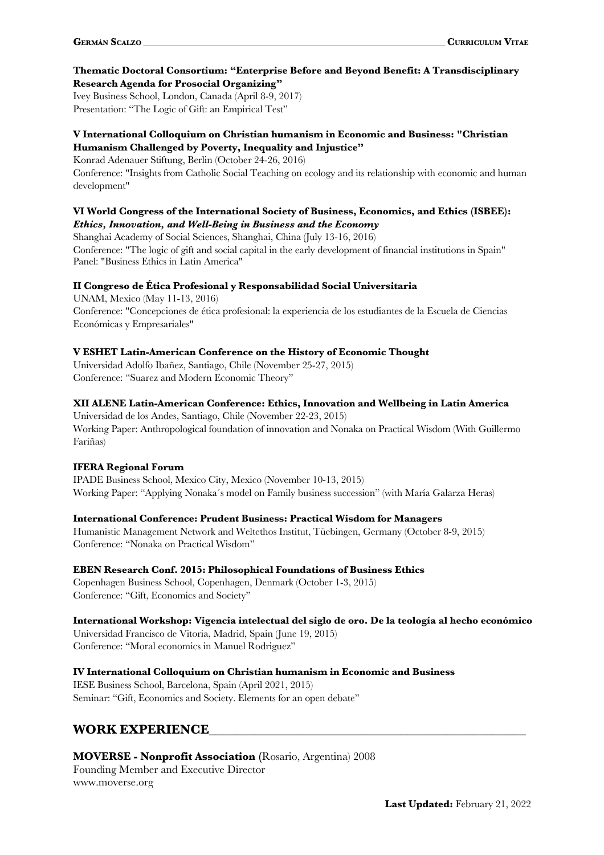#### **Thematic Doctoral Consortium: "Enterprise Before and Beyond Benefit: A Transdisciplinary Research Agenda for Prosocial Organizing"**

Ivey Business School, London, Canada (April 8-9, 2017) Presentation: "The Logic of Gift: an Empirical Test"

#### **V International Colloquium on Christian humanism in Economic and Business: "Christian Humanism Challenged by Poverty, Inequality and Injustice"**

Konrad Adenauer Stiftung, Berlin (October 24-26, 2016)

Conference: "Insights from Catholic Social Teaching on ecology and its relationship with economic and human development"

#### **VI World Congress of the International Society of Business, Economics, and Ethics (ISBEE):** *Ethics, Innovation, and Well-Being in Business and the Economy*

Shanghai Academy of Social Sciences, Shanghai, China (July 13-16, 2016)

Conference: "The logic of gift and social capital in the early development of financial institutions in Spain" Panel: "Business Ethics in Latin America"

#### **II Congreso de Ética Profesional y Responsabilidad Social Universitaria**

UNAM, Mexico (May 11-13, 2016) Conference: "Concepciones de ética profesional: la experiencia de los estudiantes de la Escuela de Ciencias Económicas y Empresariales"

#### **V ESHET Latin-American Conference on the History of Economic Thought**

Universidad Adolfo Ibañez, Santiago, Chile (November 25-27, 2015) Conference: "Suarez and Modern Economic Theory"

#### **XII ALENE Latin-American Conference: Ethics, Innovation and Wellbeing in Latin America**

Universidad de los Andes, Santiago, Chile (November 22-23, 2015) Working Paper: Anthropological foundation of innovation and Nonaka on Practical Wisdom (With Guillermo Fariñas)

#### **IFERA Regional Forum**

IPADE Business School, Mexico City, Mexico (November 10-13, 2015) Working Paper: "Applying Nonaka´s model on Family business succession" (with María Galarza Heras)

#### **International Conference: Prudent Business: Practical Wisdom for Managers**

Humanistic Management Network and Weltethos Institut, Tüebingen, Germany (October 8-9, 2015) Conference: "Nonaka on Practical Wisdom"

### **EBEN Research Conf. 2015: Philosophical Foundations of Business Ethics**

Copenhagen Business School, Copenhagen, Denmark (October 1-3, 2015) Conference: "Gift, Economics and Society"

#### **International Workshop: Vigencia intelectual del siglo de oro. De la teología al hecho económico** Universidad Francisco de Vitoria, Madrid, Spain (June 19, 2015)

Conference: "Moral economics in Manuel Rodriguez"

#### **IV International Colloquium on Christian humanism in Economic and Business**

IESE Business School, Barcelona, Spain (April 2021, 2015) Seminar: "Gift, Economics and Society. Elements for an open debate"

## **WORK EXPERIENCE**\_\_\_\_\_\_\_\_\_\_\_\_\_\_\_\_\_\_\_\_\_\_\_\_\_\_\_\_\_\_\_\_\_\_\_\_\_\_\_\_\_\_\_\_\_\_\_\_

### **MOVERSE - Nonprofit Association (**Rosario, Argentina) 2008

Founding Member and Executive Director www.moverse.org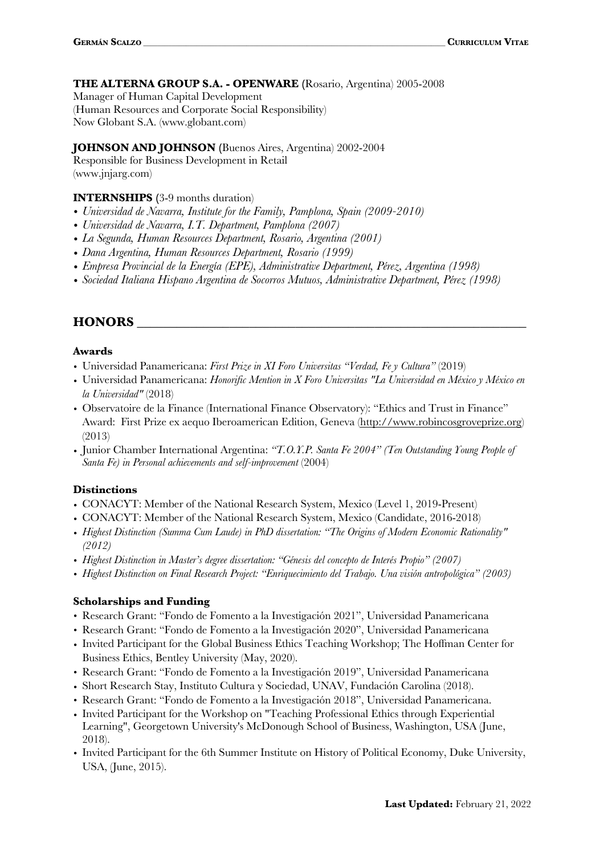#### **THE ALTERNA GROUP S.A. - OPENWARE (**Rosario, Argentina) 2005-2008

Manager of Human Capital Development (Human Resources and Corporate Social Responsibility) Now Globant S.A. (www.globant.com)

#### **JOHNSON AND JOHNSON (**Buenos Aires, Argentina) 2002-2004

Responsible for Business Development in Retail (www.jnjarg.com)

#### **INTERNSHIPS (**3-9 months duration)

- *• Universidad de Navarra, Institute for the Family, Pamplona, Spain (2009-2010)*
- *• Universidad de Navarra, I.T. Department, Pamplona (2007)*
- *• La Segunda, Human Resources Department, Rosario, Argentina (2001)*
- *• Dana Argentina, Human Resources Department, Rosario (1999)*
- *• Empresa Provincial de la Energía (EPE), Administrative Department, Pérez, Argentina (1998)*
- *• Sociedad Italiana Hispano Argentina de Socorros Mutuos, Administrative Department, Pérez (1998)*

## **HONORS** \_\_\_\_\_\_\_\_\_\_\_\_\_\_\_\_\_\_\_\_\_\_\_\_\_\_\_\_\_\_\_\_\_\_\_\_\_\_\_\_\_\_\_\_\_\_\_\_\_\_\_\_\_\_\_\_\_\_\_

#### **Awards**

- *•* Universidad Panamericana: *First Prize in XI Foro Universitas "Verdad, Fe y Cultura"* (2019)
- *•* Universidad Panamericana: *Honorific Mention in X Foro Universitas "La Universidad en México y México en la Universidad"* (2018)
- Observatoire de la Finance (International Finance Observatory): "Ethics and Trust in Finance" Award: First Prize ex aequo Iberoamerican Edition, Geneva (http://www.robincosgroveprize.org) (2013)
- *•* Junior Chamber International Argentina: *"T.O.Y.P. Santa Fe 2004" (Ten Outstanding Young People of Santa Fe) in Personal achievements and self-improvement* (2004)

#### **Distinctions**

- *•* CONACYT: Member of the National Research System, Mexico (Level 1, 2019-Present)
- *•* CONACYT: Member of the National Research System, Mexico (Candidate, 2016-2018)
- *• Highest Distinction (Summa Cum Laude) in PhD dissertation: "The Origins of Modern Economic Rationality" (2012)*
- *• Highest Distinction in Master's degree dissertation: "Génesis del concepto de Interés Propio" (2007)*
- *• Highest Distinction on Final Research Project: "Enriquecimiento del Trabajo. Una visión antropológica" (2003)*

#### **Scholarships and Funding**

- *•* Research Grant: "Fondo de Fomento a la Investigación 2021", Universidad Panamericana
- *•* Research Grant: "Fondo de Fomento a la Investigación 2020", Universidad Panamericana
- *•* Invited Participant for the Global Business Ethics Teaching Workshop; The Hoffman Center for Business Ethics, Bentley University (May, 2020).
- *•* Research Grant: "Fondo de Fomento a la Investigación 2019", Universidad Panamericana
- *•* Short Research Stay, Instituto Cultura y Sociedad, UNAV, Fundación Carolina (2018).
- *•* Research Grant: "Fondo de Fomento a la Investigación 2018", Universidad Panamericana.
- Invited Participant for the Workshop on "Teaching Professional Ethics through Experiential Learning", Georgetown University's McDonough School of Business, Washington, USA (June, 2018).
- Invited Participant for the 6th Summer Institute on History of Political Economy, Duke University, USA, (June, 2015).